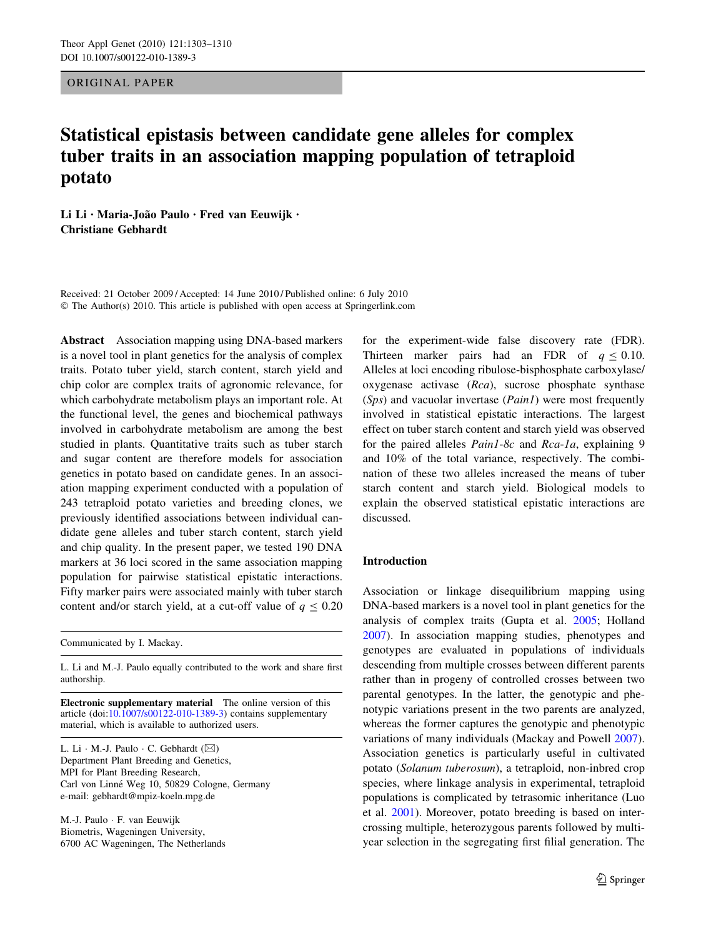ORIGINAL PAPER

# Statistical epistasis between candidate gene alleles for complex tuber traits in an association mapping population of tetraploid potato

Li Li • Maria-João Paulo • Fred van Eeuwijk • Christiane Gebhardt

Received: 21 October 2009 / Accepted: 14 June 2010 / Published online: 6 July 2010 © The Author(s) 2010. This article is published with open access at Springerlink.com

Abstract Association mapping using DNA-based markers is a novel tool in plant genetics for the analysis of complex traits. Potato tuber yield, starch content, starch yield and chip color are complex traits of agronomic relevance, for which carbohydrate metabolism plays an important role. At the functional level, the genes and biochemical pathways involved in carbohydrate metabolism are among the best studied in plants. Quantitative traits such as tuber starch and sugar content are therefore models for association genetics in potato based on candidate genes. In an association mapping experiment conducted with a population of 243 tetraploid potato varieties and breeding clones, we previously identified associations between individual candidate gene alleles and tuber starch content, starch yield and chip quality. In the present paper, we tested 190 DNA markers at 36 loci scored in the same association mapping population for pairwise statistical epistatic interactions. Fifty marker pairs were associated mainly with tuber starch content and/or starch yield, at a cut-off value of  $q \le 0.20$ 

Communicated by I. Mackay.

L. Li and M.-J. Paulo equally contributed to the work and share first authorship.

Electronic supplementary material The online version of this article (doi:[10.1007/s00122-010-1389-3\)](http://dx.doi.org/10.1007/s00122-010-1389-3) contains supplementary material, which is available to authorized users.

L. Li  $\cdot$  M.-J. Paulo  $\cdot$  C. Gebhardt ( $\boxtimes$ ) Department Plant Breeding and Genetics, MPI for Plant Breeding Research, Carl von Linné Weg 10, 50829 Cologne, Germany e-mail: gebhardt@mpiz-koeln.mpg.de

M.-J. Paulo - F. van Eeuwijk Biometris, Wageningen University, 6700 AC Wageningen, The Netherlands for the experiment-wide false discovery rate (FDR). Thirteen marker pairs had an FDR of  $q \le 0.10$ . Alleles at loci encoding ribulose-bisphosphate carboxylase/ oxygenase activase  $(Rca)$ , sucrose phosphate synthase  $(Sps)$  and vacuolar invertase  $(Pain1)$  were most frequently involved in statistical epistatic interactions. The largest effect on tuber starch content and starch yield was observed for the paired alleles Pain1-8c and Rca-1a, explaining 9 and 10% of the total variance, respectively. The combination of these two alleles increased the means of tuber starch content and starch yield. Biological models to explain the observed statistical epistatic interactions are discussed.

## Introduction

Association or linkage disequilibrium mapping using DNA-based markers is a novel tool in plant genetics for the analysis of complex traits (Gupta et al. [2005;](#page-7-0) Holland [2007](#page-7-0)). In association mapping studies, phenotypes and genotypes are evaluated in populations of individuals descending from multiple crosses between different parents rather than in progeny of controlled crosses between two parental genotypes. In the latter, the genotypic and phenotypic variations present in the two parents are analyzed, whereas the former captures the genotypic and phenotypic variations of many individuals (Mackay and Powell [2007](#page-7-0)). Association genetics is particularly useful in cultivated potato (Solanum tuberosum), a tetraploid, non-inbred crop species, where linkage analysis in experimental, tetraploid populations is complicated by tetrasomic inheritance (Luo et al. [2001](#page-7-0)). Moreover, potato breeding is based on intercrossing multiple, heterozygous parents followed by multiyear selection in the segregating first filial generation. The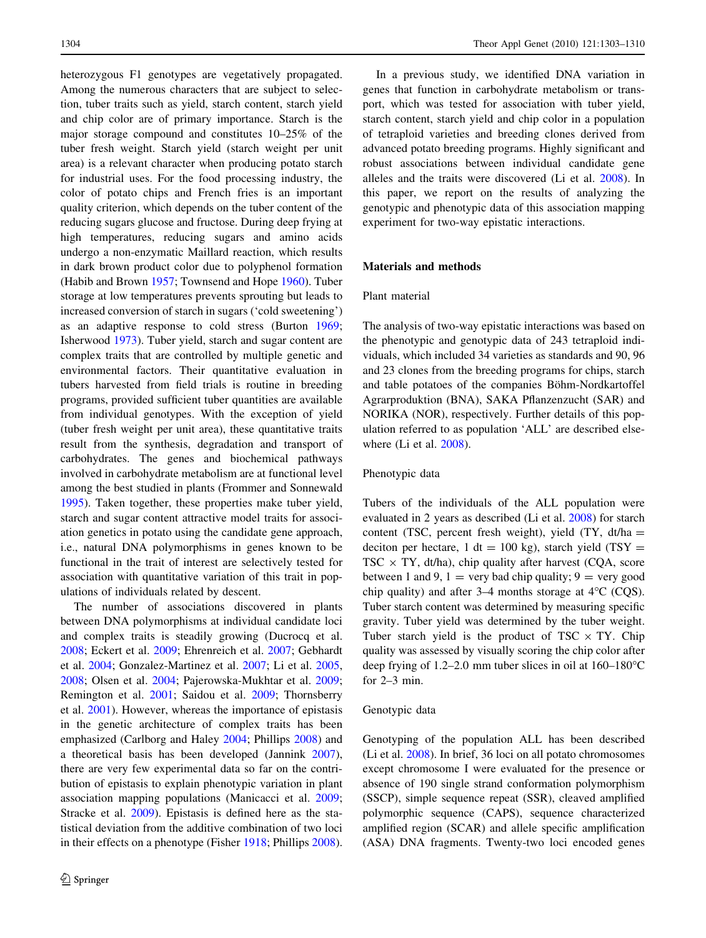<span id="page-1-0"></span>heterozygous F1 genotypes are vegetatively propagated. Among the numerous characters that are subject to selection, tuber traits such as yield, starch content, starch yield and chip color are of primary importance. Starch is the major storage compound and constitutes 10–25% of the tuber fresh weight. Starch yield (starch weight per unit area) is a relevant character when producing potato starch for industrial uses. For the food processing industry, the color of potato chips and French fries is an important quality criterion, which depends on the tuber content of the reducing sugars glucose and fructose. During deep frying at high temperatures, reducing sugars and amino acids undergo a non-enzymatic Maillard reaction, which results in dark brown product color due to polyphenol formation (Habib and Brown [1957](#page-7-0); Townsend and Hope [1960](#page-7-0)). Tuber storage at low temperatures prevents sprouting but leads to increased conversion of starch in sugars ('cold sweetening') as an adaptive response to cold stress (Burton [1969](#page-6-0); Isherwood [1973\)](#page-7-0). Tuber yield, starch and sugar content are complex traits that are controlled by multiple genetic and environmental factors. Their quantitative evaluation in tubers harvested from field trials is routine in breeding programs, provided sufficient tuber quantities are available from individual genotypes. With the exception of yield (tuber fresh weight per unit area), these quantitative traits result from the synthesis, degradation and transport of carbohydrates. The genes and biochemical pathways involved in carbohydrate metabolism are at functional level among the best studied in plants (Frommer and Sonnewald [1995\)](#page-6-0). Taken together, these properties make tuber yield, starch and sugar content attractive model traits for association genetics in potato using the candidate gene approach, i.e., natural DNA polymorphisms in genes known to be functional in the trait of interest are selectively tested for association with quantitative variation of this trait in populations of individuals related by descent.

The number of associations discovered in plants between DNA polymorphisms at individual candidate loci and complex traits is steadily growing (Ducrocq et al. [2008;](#page-6-0) Eckert et al. [2009;](#page-6-0) Ehrenreich et al. [2007;](#page-6-0) Gebhardt et al. [2004;](#page-7-0) Gonzalez-Martinez et al. [2007;](#page-7-0) Li et al. [2005,](#page-7-0) [2008;](#page-7-0) Olsen et al. [2004](#page-7-0); Pajerowska-Mukhtar et al. [2009](#page-7-0); Remington et al. [2001](#page-7-0); Saidou et al. [2009](#page-7-0); Thornsberry et al. [2001\)](#page-7-0). However, whereas the importance of epistasis in the genetic architecture of complex traits has been emphasized (Carlborg and Haley [2004](#page-6-0); Phillips [2008](#page-7-0)) and a theoretical basis has been developed (Jannink [2007](#page-7-0)), there are very few experimental data so far on the contribution of epistasis to explain phenotypic variation in plant association mapping populations (Manicacci et al. [2009](#page-7-0); Stracke et al. [2009](#page-7-0)). Epistasis is defined here as the statistical deviation from the additive combination of two loci in their effects on a phenotype (Fisher [1918](#page-6-0); Phillips [2008](#page-7-0)).

In a previous study, we identified DNA variation in genes that function in carbohydrate metabolism or transport, which was tested for association with tuber yield, starch content, starch yield and chip color in a population of tetraploid varieties and breeding clones derived from advanced potato breeding programs. Highly significant and robust associations between individual candidate gene alleles and the traits were discovered (Li et al. [2008](#page-7-0)). In this paper, we report on the results of analyzing the genotypic and phenotypic data of this association mapping experiment for two-way epistatic interactions.

## Materials and methods

## Plant material

The analysis of two-way epistatic interactions was based on the phenotypic and genotypic data of 243 tetraploid individuals, which included 34 varieties as standards and 90, 96 and 23 clones from the breeding programs for chips, starch and table potatoes of the companies Böhm-Nordkartoffel Agrarproduktion (BNA), SAKA Pflanzenzucht (SAR) and NORIKA (NOR), respectively. Further details of this population referred to as population 'ALL' are described else-where (Li et al. [2008\)](#page-7-0).

## Phenotypic data

Tubers of the individuals of the ALL population were evaluated in 2 years as described (Li et al. [2008\)](#page-7-0) for starch content (TSC, percent fresh weight), yield (TY,  $dt/ha =$ deciton per hectare, 1 dt = 100 kg), starch yield (TSY = TSC  $\times$  TY, dt/ha), chip quality after harvest (CQA, score between 1 and 9,  $1 = \text{very bad chip quality}; 9 = \text{very good}$ chip quality) and after 3–4 months storage at  $4^{\circ}$ C (CQS). Tuber starch content was determined by measuring specific gravity. Tuber yield was determined by the tuber weight. Tuber starch yield is the product of TSC  $\times$  TY. Chip quality was assessed by visually scoring the chip color after deep frying of 1.2–2.0 mm tuber slices in oil at  $160-180^{\circ}$ C for 2–3 min.

## Genotypic data

Genotyping of the population ALL has been described (Li et al. [2008\)](#page-7-0). In brief, 36 loci on all potato chromosomes except chromosome I were evaluated for the presence or absence of 190 single strand conformation polymorphism (SSCP), simple sequence repeat (SSR), cleaved amplified polymorphic sequence (CAPS), sequence characterized amplified region (SCAR) and allele specific amplification (ASA) DNA fragments. Twenty-two loci encoded genes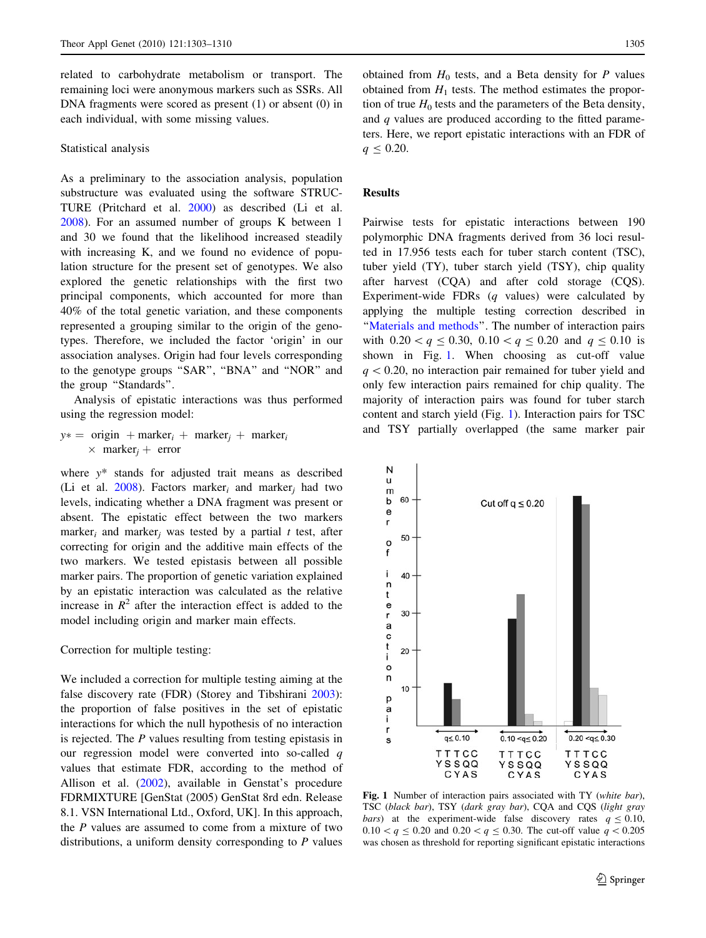related to carbohydrate metabolism or transport. The remaining loci were anonymous markers such as SSRs. All DNA fragments were scored as present (1) or absent (0) in each individual, with some missing values.

#### Statistical analysis

As a preliminary to the association analysis, population substructure was evaluated using the software STRUC-TURE (Pritchard et al. [2000\)](#page-7-0) as described (Li et al. [2008\)](#page-7-0). For an assumed number of groups K between 1 and 30 we found that the likelihood increased steadily with increasing K, and we found no evidence of population structure for the present set of genotypes. We also explored the genetic relationships with the first two principal components, which accounted for more than 40% of the total genetic variation, and these components represented a grouping similar to the origin of the genotypes. Therefore, we included the factor 'origin' in our association analyses. Origin had four levels corresponding to the genotype groups ''SAR'', ''BNA'' and ''NOR'' and the group ''Standards''.

Analysis of epistatic interactions was thus performed using the regression model:

 $y* = origin + marker_i + marker_j + marker_i$  $\times$  marker<sub>i</sub> + error

where y\* stands for adjusted trait means as described (Li et al.  $2008$ ). Factors marker<sub>i</sub> and marker<sub>i</sub> had two levels, indicating whether a DNA fragment was present or absent. The epistatic effect between the two markers marker<sub>i</sub> and marker<sub>i</sub> was tested by a partial t test, after correcting for origin and the additive main effects of the two markers. We tested epistasis between all possible marker pairs. The proportion of genetic variation explained by an epistatic interaction was calculated as the relative increase in  $R^2$  after the interaction effect is added to the model including origin and marker main effects.

Correction for multiple testing:

We included a correction for multiple testing aiming at the false discovery rate (FDR) (Storey and Tibshirani [2003](#page-7-0)): the proportion of false positives in the set of epistatic interactions for which the null hypothesis of no interaction is rejected. The P values resulting from testing epistasis in our regression model were converted into so-called q values that estimate FDR, according to the method of Allison et al. [\(2002](#page-6-0)), available in Genstat's procedure FDRMIXTURE [GenStat (2005) GenStat 8rd edn. Release 8.1. VSN International Ltd., Oxford, UK]. In this approach, the  $P$  values are assumed to come from a mixture of two distributions, a uniform density corresponding to  $P$  values obtained from  $H_0$  tests, and a Beta density for P values obtained from  $H_1$  tests. The method estimates the proportion of true  $H_0$  tests and the parameters of the Beta density, and q values are produced according to the fitted parameters. Here, we report epistatic interactions with an FDR of  $q \le 0.20$ .

#### Results

Pairwise tests for epistatic interactions between 190 polymorphic DNA fragments derived from 36 loci resulted in 17.956 tests each for tuber starch content (TSC), tuber yield (TY), tuber starch yield (TSY), chip quality after harvest (CQA) and after cold storage (CQS). Experiment-wide FDRs  $(q$  values) were calculated by applying the multiple testing correction described in ''[Materials and methods'](#page-1-0)'. The number of interaction pairs with  $0.20 \lt q \lt 0.30, 0.10 \lt q \lt 0.20$  and  $q \lt 0.10$  is shown in Fig. 1. When choosing as cut-off value  $q<0.20$ , no interaction pair remained for tuber yield and only few interaction pairs remained for chip quality. The majority of interaction pairs was found for tuber starch content and starch yield (Fig. 1). Interaction pairs for TSC and TSY partially overlapped (the same marker pair



Fig. 1 Number of interaction pairs associated with TY (white bar), TSC (black bar), TSY (dark gray bar), CQA and CQS (light gray *bars*) at the experiment-wide false discovery rates  $q \le 0.10$ ,  $0.10 < q \le 0.20$  and  $0.20 < q \le 0.30$ . The cut-off value  $q < 0.205$ was chosen as threshold for reporting significant epistatic interactions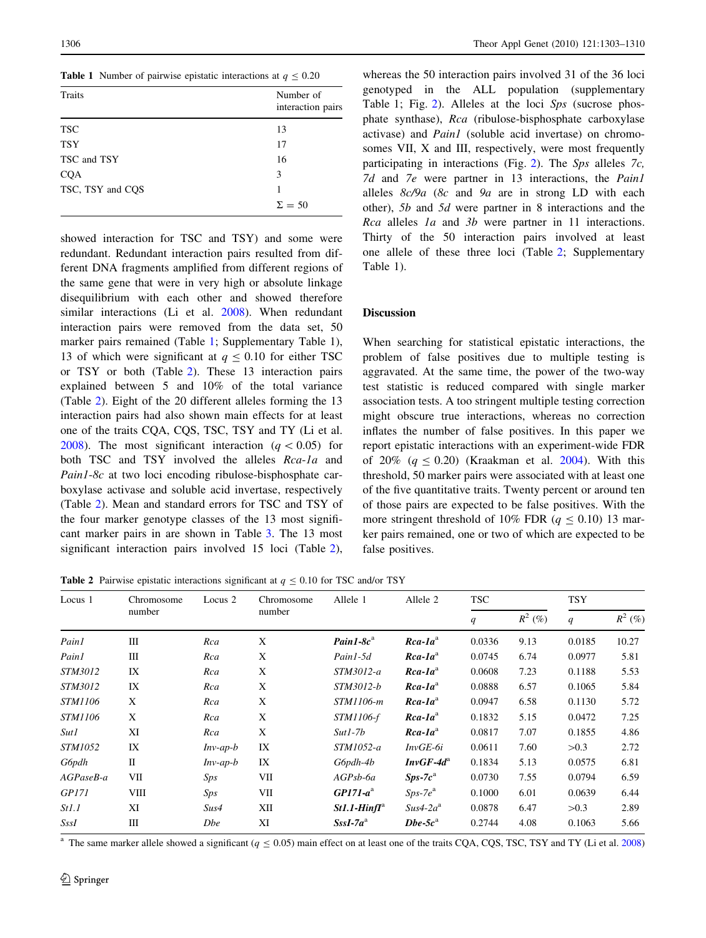**Table 1** Number of pairwise epistatic interactions at  $q \le 0.20$ 

| <b>Traits</b>    | Number of<br>interaction pairs |
|------------------|--------------------------------|
| <b>TSC</b>       | 13                             |
| <b>TSY</b>       | 17                             |
| TSC and TSY      | 16                             |
| <b>CQA</b>       | 3                              |
| TSC, TSY and CQS |                                |
|                  | $\Sigma = 50$                  |

showed interaction for TSC and TSY) and some were redundant. Redundant interaction pairs resulted from different DNA fragments amplified from different regions of the same gene that were in very high or absolute linkage disequilibrium with each other and showed therefore similar interactions (Li et al. [2008\)](#page-7-0). When redundant interaction pairs were removed from the data set, 50 marker pairs remained (Table 1; Supplementary Table 1), 13 of which were significant at  $q \le 0.10$  for either TSC or TSY or both (Table 2). These 13 interaction pairs explained between 5 and 10% of the total variance (Table 2). Eight of the 20 different alleles forming the 13 interaction pairs had also shown main effects for at least one of the traits CQA, CQS, TSC, TSY and TY (Li et al. [2008\)](#page-7-0). The most significant interaction  $(q<0.05)$  for both TSC and TSY involved the alleles Rca-1a and Pain1-8c at two loci encoding ribulose-bisphosphate carboxylase activase and soluble acid invertase, respectively (Table 2). Mean and standard errors for TSC and TSY of the four marker genotype classes of the 13 most significant marker pairs in are shown in Table [3](#page-4-0). The 13 most significant interaction pairs involved 15 loci (Table 2),

whereas the 50 interaction pairs involved 31 of the 36 loci genotyped in the ALL population (supplementary Table 1; Fig. [2](#page-5-0)). Alleles at the loci Sps (sucrose phosphate synthase), Rca (ribulose-bisphosphate carboxylase activase) and Pain1 (soluble acid invertase) on chromosomes VII, X and III, respectively, were most frequently participating in interactions (Fig. [2\)](#page-5-0). The Sps alleles 7c, 7d and 7e were partner in 13 interactions, the Pain1 alleles 8c/9a (8c and 9a are in strong LD with each other), 5b and 5d were partner in 8 interactions and the Rca alleles *la* and *3b* were partner in 11 interactions. Thirty of the 50 interaction pairs involved at least one allele of these three loci (Table 2; Supplementary Table 1).

#### Discussion

When searching for statistical epistatic interactions, the problem of false positives due to multiple testing is aggravated. At the same time, the power of the two-way test statistic is reduced compared with single marker association tests. A too stringent multiple testing correction might obscure true interactions, whereas no correction inflates the number of false positives. In this paper we report epistatic interactions with an experiment-wide FDR of 20% ( $q \le 0.20$ ) (Kraakman et al. [2004](#page-7-0)). With this threshold, 50 marker pairs were associated with at least one of the five quantitative traits. Twenty percent or around ten of those pairs are expected to be false positives. With the more stringent threshold of 10% FDR ( $q \le 0.10$ ) 13 marker pairs remained, one or two of which are expected to be false positives.

**Table 2** Pairwise epistatic interactions significant at  $q \leq 0.10$  for TSC and/or TSY

| Locus 1        | Chromosome   | Locus 2    | Chromosome | Allele 1            | Allele 2                                            | <b>TSC</b> |           | <b>TSY</b> |           |
|----------------|--------------|------------|------------|---------------------|-----------------------------------------------------|------------|-----------|------------|-----------|
|                | number       |            | number     |                     |                                                     | q          | $R^2$ (%) | q          | $R^2$ (%) |
| Pain1          | Ш            | Rca        | X          | Pain1-8 $c^a$       | $Rca-Ia^a$                                          | 0.0336     | 9.13      | 0.0185     | 10.27     |
| Pain1          | Ш            | Rca        | X          | Pain1-5d            | $Rca-Iaa$                                           | 0.0745     | 6.74      | 0.0977     | 5.81      |
| <i>STM3012</i> | IX           | Rca        | X          | STM3012-a           | $Rca-Ia^a$                                          | 0.0608     | 7.23      | 0.1188     | 5.53      |
| <i>STM3012</i> | IX           | Rca        | X          | STM3012-b           | $Rca-Ia^a$                                          | 0.0888     | 6.57      | 0.1065     | 5.84      |
| <i>STM1106</i> | X            | Rca        | X          | STM1106-m           | $Rca-Iaa$                                           | 0.0947     | 6.58      | 0.1130     | 5.72      |
| <i>STM1106</i> | X            | Rca        | X          | STM1106-f           | $Rca-Iaa$                                           | 0.1832     | 5.15      | 0.0472     | 7.25      |
| Sut1           | XI           | Rca        | X          | $Sut1-7b$           | $Rca-Ia^a$                                          | 0.0817     | 7.07      | 0.1855     | 4.86      |
| <i>STM1052</i> | IX           | $Inv-ap-b$ | IX         | STM1052-a           | InvGE-6i                                            | 0.0611     | 7.60      | >0.3       | 2.72      |
| G6pdh          | $\mathbf{I}$ | $Inv-ap-b$ | IX         | G6pdh-4b            | $InvGF-4d^a$                                        | 0.1834     | 5.13      | 0.0575     | 6.81      |
| AGPaseB-a      | VII          | Sps        | VII        | $AGPsb-6a$          | $Sps-7c^a$                                          | 0.0730     | 7.55      | 0.0794     | 6.59      |
| <i>GP171</i>   | <b>VIII</b>  | Sps        | VII        | $GPI71-a^a$         | $Sps-7e^a$                                          | 0.1000     | 6.01      | 0.0639     | 6.44      |
| StI.1          | XI           | Sus4       | XII        | $St1.1$ -Hinf $I^a$ | $Sus4-2a^a$                                         | 0.0878     | 6.47      | >0.3       | 2.89      |
| SssI           | Ш            | Dbe        | XI         | $S_{SS}I$ -7 $a^a$  | $\boldsymbol{D}$ be-5 $\boldsymbol{c}^{\mathrm{a}}$ | 0.2744     | 4.08      | 0.1063     | 5.66      |

<sup>a</sup> The same marker allele showed a significant  $(q \le 0.05)$  main effect on at least one of the traits CQA, CQS, TSC, TSY and TY (Li et al. [2008](#page-7-0))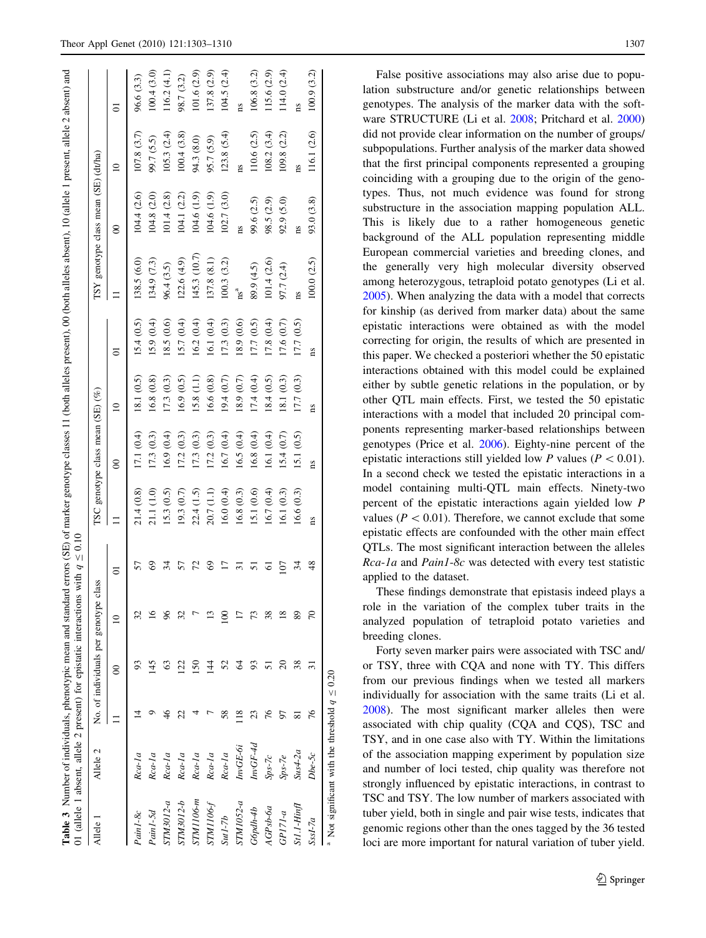<span id="page-4-0"></span>

| 01 (allele 1 absent, allele 2 present) for epistatic interactions |                     |    |                                   |         | with $q \leq 0.10$ |            |                                  |             |            | Table 3 Number of individuals, phenotypic mean and standard errors (SE) of marker genotype classes 11 (both alleles present), 00 (both alleles absent), 10 (allele 1 present, allele 2 absent) and |                                      |             |             |
|-------------------------------------------------------------------|---------------------|----|-----------------------------------|---------|--------------------|------------|----------------------------------|-------------|------------|----------------------------------------------------------------------------------------------------------------------------------------------------------------------------------------------------|--------------------------------------|-------------|-------------|
| Allele 1                                                          | Allele <sub>2</sub> |    | No. of individuals per genotype o |         | class              |            | TSC genotype class mean (SE) (%) |             |            |                                                                                                                                                                                                    | TSY genotype class mean (SE) (dt/ha) |             |             |
|                                                                   |                     |    | $\infty$                          | $\cong$ | ਠ                  |            | g                                | $\subseteq$ | ਠ          |                                                                                                                                                                                                    | $\infty$                             | $\supseteq$ |             |
| Pain1-8c                                                          | $Rca-Ia$            |    |                                   |         |                    | 21.4(0.8)  | 17.1(0.4)                        | 18.1 (0.5)  | 15.4(0.5)  | 138.5 (6.0)                                                                                                                                                                                        | 104.4 (2.6)                          | 107.8(3.7)  | 96.6 (3.3)  |
| Pain1-5d                                                          | $Rca-Ia$            |    |                                   |         | 69                 | 21.1 (1.0) | 17.3(0.3)                        | 16.8 (0.8)  | 15.9(0.4)  | 134.9 (7.3)                                                                                                                                                                                        | 104.8 (2.0)                          | 99.7 (5.5)  | 100.4(3.0)  |
| STM3012-a                                                         | $Rca-Ia$            |    |                                   |         | 34                 | 15.3(0.5)  | 16.9(0.4)                        | 17.3(0.3)   | 18.5 (0.6) | 96.4 (3.5)                                                                                                                                                                                         | 101.4(2.8)                           | 105.3(2.4)  | 116.2(4.1)  |
| <b>STM3012-b</b>                                                  | $Rca-Ia$            |    |                                   |         |                    | 19.3(0.7)  | (7.2(0.3))                       | 16.9(0.5)   | 15.7(0.4)  | 122.6(4.9)                                                                                                                                                                                         | 104.1 (2.2)                          | 100.4(3.8)  | 98.7 (3.2)  |
| STM1106-m                                                         | $Rca-Ia$            |    |                                   |         |                    | 22.4(1.5)  | 17.3(0.3)                        | 15.8 (1.1)  | 16.2(0.4)  | (45.3)(10.7)                                                                                                                                                                                       | 104.6 (1.9)                          | 94.3 (8.0)  | 101.6(2.9)  |
| STM1106-f                                                         | $Rca-Ia$            |    |                                   |         | 3                  | 20.7 (1.1) | 17.2(0.3)                        | 16.6(0.8)   | 16.1(0.4)  | (37.8(8.1))                                                                                                                                                                                        | 104.6 (1.9)                          | 95.7 (5.9)  | 137.8 (2.9) |
| $SutI-7b$                                                         | $Rca-Ia$            |    |                                   |         |                    | 16.0(0.4)  | 16.7 (0.4)                       | 19.4 (0.7)  | 17.3(0.3)  | 100.3(3.2)                                                                                                                                                                                         | 102.7 (3.0)                          | 123.8(5.4)  | 104.5(2.4)  |
| STM1052-a                                                         | InvGE-6i            |    | 2                                 |         |                    | 16.8(0.3)  | 16.5(0.4)                        | 18.9 (0.7)  | 18.9 (0.6) | $ns^a$                                                                                                                                                                                             | ns                                   | ns          | ns          |
| G6pdh-4b                                                          | $InvGF-4a$          |    |                                   |         |                    | 15.1 (0.6) | 16.8(0.4)                        | 17.4(0.4)   | 17.7(0.5)  | 89.9 (4.5)                                                                                                                                                                                         | 99.6 (2.5)                           | 110.6(2.5)  | 106.8(3.2)  |
| $AGPsb-6a$                                                        | $Sps$ -7 $c$        | ۴  |                                   |         | 6                  | 16.7(0.4)  | 16.1(0.4)                        | 18.4(0.5)   | 17.8(0.4)  | 101.4 (2.6)                                                                                                                                                                                        | 98.5 (2.9)                           | 108.2(3.4)  | 115.6 (2.9) |
| $GPI71-a$                                                         | $Sps-7e$            |    |                                   |         | 107                | 16.1(0.3)  | 15.4(0.7)                        | 18.1 (0.3)  | 17.6(0.7)  | 97.7 (2.4)                                                                                                                                                                                         | 92.9 (5.0)                           | 109.8 (2.2) | 114.0 (2.4) |
| $Stl.l-Hinfl$                                                     | $Sus4-2a$           |    |                                   |         | 34                 | 16.6(0.3)  | 15.1(0.5)                        | 17.7(0.3)   | 17.7(0.5)  | ns                                                                                                                                                                                                 | ns                                   | ns          | ns          |
| $S_{S}I$ -7a                                                      | $Dbe-5c$            | 76 |                                   |         | $\frac{8}{3}$      | ns         | ns                               | ns          | m          | (2.5)                                                                                                                                                                                              | 93.0 (3.8)                           | 116.1 (2.6) | 100.9(3.2)  |

False positive associations may also arise due to population substructure and/or genetic relationships between genotypes. The analysis of the marker data with the software STRUCTURE (Li et al. [2008](#page-7-0); Pritchard et al. [2000\)](#page-7-0) did not provide clear information on the number of groups/ subpopulations. Further analysis of the marker data showed that the first principal components represented a grouping coinciding with a grouping due to the origin of the genotypes. Thus, not much evidence was found for strong substructure in the association mapping population ALL. This is likely due to a rather homogeneous genetic background of the ALL population representing middle European commercial varieties and breeding clones, and the generally very high molecular diversity observed among heterozygous, tetraploid potato genotypes (Li et al. [2005](#page-7-0)). When analyzing the data with a model that corrects for kinship (as derived from marker data) about the same epistatic interactions were obtained as with the model correcting for origin, the results of which are presented in this paper. We checked a posteriori whether the 50 epistatic interactions obtained with this model could be explained either by subtle genetic relations in the population, or by other QTL main effects. First, we tested the 50 epistatic interactions with a model that included 20 principal components representing marker-based relationships between genotypes (Price et al. [2006](#page-7-0)). Eighty-nine percent of the epistatic interactions still yielded low P values ( $P < 0.01$ ). In a second check we tested the epistatic interactions in a model containing multi-QTL main effects. Ninety-two percent of the epistatic interactions again yielded low P values ( $P < 0.01$ ). Therefore, we cannot exclude that some epistatic effects are confounded with the other main effect QTLs. The most significant interaction between the alleles Rca-1a and Pain1-8c was detected with every test statistic applied to the dataset.

These findings demonstrate that epistasis indeed plays a role in the variation of the complex tuber traits in the analyzed population of tetraploid potato varieties and breeding clones.

Forty seven marker pairs were associated with TSC and/ or TSY, three with CQA and none with TY. This differs from our previous findings when we tested all markers individually for association with the same traits (Li et al. [2008](#page-7-0)). The most significant marker alleles then were associated with chip quality (CQA and CQS), TSC and TSY, and in one case also with TY. Within the limitations of the association mapping experiment by population size and number of loci tested, chip quality was therefore not strongly influenced by epistatic interactions, in contrast to TSC and TSY. The low number of markers associated with tuber yield, both in single and pair wise tests, indicates that genomic regions other than the ones tagged by the 36 tested loci are more important for natural variation of tuber yield.

a

<sup>a</sup> Not significant with the threshold  $q \le 0.20$ 

Not significant with the threshold  $q \leq 0.20$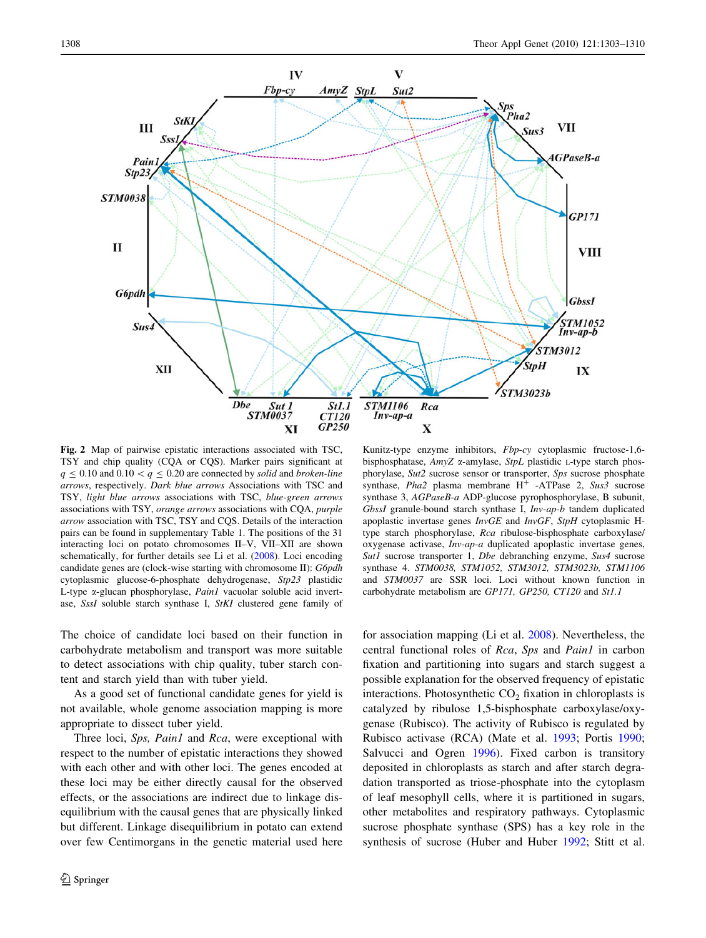<span id="page-5-0"></span>

Fig. 2 Map of pairwise epistatic interactions associated with TSC, TSY and chip quality (CQA or CQS). Marker pairs significant at  $q \leq 0.10$  and  $0.10 \lt q \leq 0.20$  are connected by solid and broken-line arrows, respectively. Dark blue arrows Associations with TSC and TSY, light blue arrows associations with TSC, blue-green arrows associations with TSY, orange arrows associations with CQA, purple arrow association with TSC, TSY and CQS. Details of the interaction pairs can be found in supplementary Table 1. The positions of the 31 interacting loci on potato chromosomes II–V, VII–XII are shown schematically, for further details see Li et al. ([2008\)](#page-7-0). Loci encoding candidate genes are (clock-wise starting with chromosome II): G6pdh cytoplasmic glucose-6-phosphate dehydrogenase, Stp23 plastidic L-type  $\alpha$ -glucan phosphorylase, *Pain1* vacuolar soluble acid invertase, SssI soluble starch synthase I, StKI clustered gene family of

The choice of candidate loci based on their function in carbohydrate metabolism and transport was more suitable to detect associations with chip quality, tuber starch content and starch yield than with tuber yield.

As a good set of functional candidate genes for yield is not available, whole genome association mapping is more appropriate to dissect tuber yield.

Three loci, Sps, Pain1 and Rca, were exceptional with respect to the number of epistatic interactions they showed with each other and with other loci. The genes encoded at these loci may be either directly causal for the observed effects, or the associations are indirect due to linkage disequilibrium with the causal genes that are physically linked but different. Linkage disequilibrium in potato can extend over few Centimorgans in the genetic material used here

Kunitz-type enzyme inhibitors, Fbp-cy cytoplasmic fructose-1,6 bisphosphatase, AmyZ  $\alpha$ -amylase, StpL plastidic L-type starch phosphorylase, Sut2 sucrose sensor or transporter, Sps sucrose phosphate synthase, Pha2 plasma membrane H<sup>+</sup> -ATPase 2, Sus3 sucrose synthase 3, AGPaseB-a ADP-glucose pyrophosphorylase, B subunit, GbssI granule-bound starch synthase I, Inv-ap-b tandem duplicated apoplastic invertase genes InvGE and InvGF, StpH cytoplasmic Htype starch phosphorylase, Rca ribulose-bisphosphate carboxylase/ oxygenase activase, Inv-ap-a duplicated apoplastic invertase genes, Sut1 sucrose transporter 1, Dbe debranching enzyme, Sus4 sucrose synthase 4. STM0038, STM1052, STM3012, STM3023b, STM1106 and STM0037 are SSR loci. Loci without known function in carbohydrate metabolism are GP171, GP250, CT120 and St1.1

for association mapping (Li et al. [2008\)](#page-7-0). Nevertheless, the central functional roles of Rca, Sps and Pain1 in carbon fixation and partitioning into sugars and starch suggest a possible explanation for the observed frequency of epistatic interactions. Photosynthetic  $CO<sub>2</sub>$  fixation in chloroplasts is catalyzed by ribulose 1,5-bisphosphate carboxylase/oxygenase (Rubisco). The activity of Rubisco is regulated by Rubisco activase (RCA) (Mate et al. [1993](#page-7-0); Portis [1990](#page-7-0); Salvucci and Ogren [1996\)](#page-7-0). Fixed carbon is transitory deposited in chloroplasts as starch and after starch degradation transported as triose-phosphate into the cytoplasm of leaf mesophyll cells, where it is partitioned in sugars, other metabolites and respiratory pathways. Cytoplasmic sucrose phosphate synthase (SPS) has a key role in the synthesis of sucrose (Huber and Huber [1992;](#page-7-0) Stitt et al.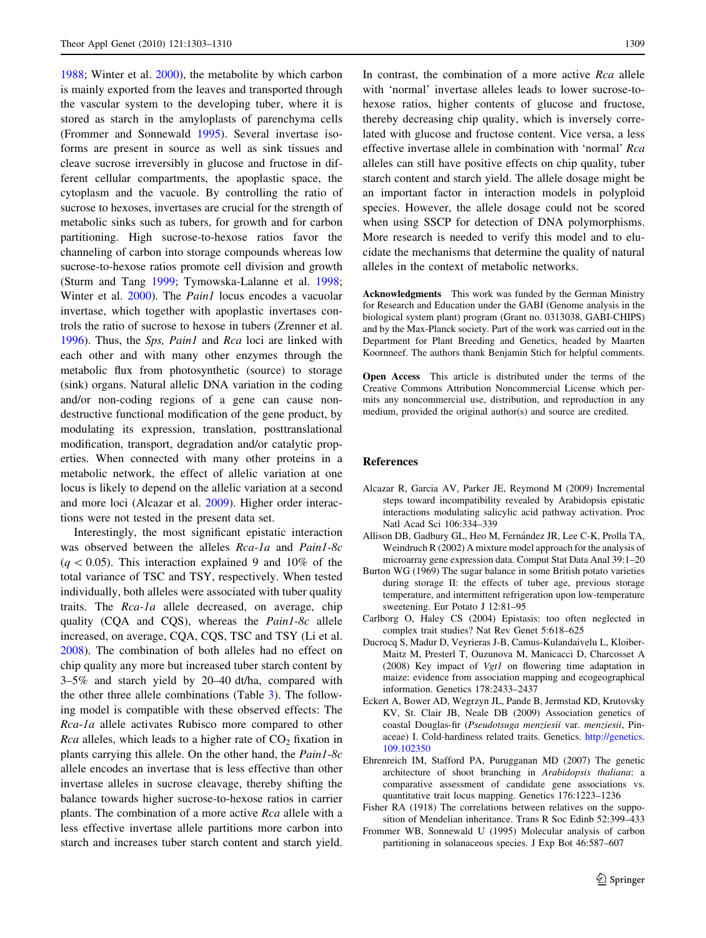<span id="page-6-0"></span>[1988;](#page-7-0) Winter et al. [2000](#page-7-0)), the metabolite by which carbon is mainly exported from the leaves and transported through the vascular system to the developing tuber, where it is stored as starch in the amyloplasts of parenchyma cells (Frommer and Sonnewald 1995). Several invertase isoforms are present in source as well as sink tissues and cleave sucrose irreversibly in glucose and fructose in different cellular compartments, the apoplastic space, the cytoplasm and the vacuole. By controlling the ratio of sucrose to hexoses, invertases are crucial for the strength of metabolic sinks such as tubers, for growth and for carbon partitioning. High sucrose-to-hexose ratios favor the channeling of carbon into storage compounds whereas low sucrose-to-hexose ratios promote cell division and growth (Sturm and Tang [1999;](#page-7-0) Tymowska-Lalanne et al. [1998](#page-7-0); Winter et al. [2000\)](#page-7-0). The *Pain1* locus encodes a vacuolar invertase, which together with apoplastic invertases controls the ratio of sucrose to hexose in tubers (Zrenner et al. [1996\)](#page-7-0). Thus, the Sps, Pain1 and Rca loci are linked with each other and with many other enzymes through the metabolic flux from photosynthetic (source) to storage (sink) organs. Natural allelic DNA variation in the coding and/or non-coding regions of a gene can cause nondestructive functional modification of the gene product, by modulating its expression, translation, posttranslational modification, transport, degradation and/or catalytic properties. When connected with many other proteins in a metabolic network, the effect of allelic variation at one locus is likely to depend on the allelic variation at a second and more loci (Alcazar et al. 2009). Higher order interactions were not tested in the present data set.

Interestingly, the most significant epistatic interaction was observed between the alleles Rca-1a and Pain1-8c  $(q<0.05)$ . This interaction explained 9 and 10% of the total variance of TSC and TSY, respectively. When tested individually, both alleles were associated with tuber quality traits. The Rca-1a allele decreased, on average, chip quality (CQA and CQS), whereas the *Pain1-8c* allele increased, on average, CQA, CQS, TSC and TSY (Li et al. [2008\)](#page-7-0). The combination of both alleles had no effect on chip quality any more but increased tuber starch content by 3–5% and starch yield by 20–40 dt/ha, compared with the other three allele combinations (Table [3](#page-4-0)). The following model is compatible with these observed effects: The Rca-1a allele activates Rubisco more compared to other *Rca* alleles, which leads to a higher rate of  $CO<sub>2</sub>$  fixation in plants carrying this allele. On the other hand, the Pain1-8c allele encodes an invertase that is less effective than other invertase alleles in sucrose cleavage, thereby shifting the balance towards higher sucrose-to-hexose ratios in carrier plants. The combination of a more active Rca allele with a less effective invertase allele partitions more carbon into starch and increases tuber starch content and starch yield.

In contrast, the combination of a more active Rca allele with 'normal' invertase alleles leads to lower sucrose-tohexose ratios, higher contents of glucose and fructose, thereby decreasing chip quality, which is inversely correlated with glucose and fructose content. Vice versa, a less effective invertase allele in combination with 'normal' Rca alleles can still have positive effects on chip quality, tuber starch content and starch yield. The allele dosage might be an important factor in interaction models in polyploid species. However, the allele dosage could not be scored when using SSCP for detection of DNA polymorphisms. More research is needed to verify this model and to elucidate the mechanisms that determine the quality of natural alleles in the context of metabolic networks.

Acknowledgments This work was funded by the German Ministry for Research and Education under the GABI (Genome analysis in the biological system plant) program (Grant no. 0313038, GABI-CHIPS) and by the Max-Planck society. Part of the work was carried out in the Department for Plant Breeding and Genetics, headed by Maarten Koornneef. The authors thank Benjamin Stich for helpful comments.

Open Access This article is distributed under the terms of the Creative Commons Attribution Noncommercial License which permits any noncommercial use, distribution, and reproduction in any medium, provided the original author(s) and source are credited.

#### References

- Alcazar R, Garcia AV, Parker JE, Reymond M (2009) Incremental steps toward incompatibility revealed by Arabidopsis epistatic interactions modulating salicylic acid pathway activation. Proc Natl Acad Sci 106:334–339
- Allison DB, Gadbury GL, Heo M, Fernández JR, Lee C-K, Prolla TA, Weindruch R (2002) A mixture model approach for the analysis of microarray gene expression data. Comput Stat Data Anal 39:1–20
- Burton WG (1969) The sugar balance in some British potato varieties during storage II: the effects of tuber age, previous storage temperature, and intermittent refrigeration upon low-temperature sweetening. Eur Potato J 12:81–95
- Carlborg O, Haley CS (2004) Epistasis: too often neglected in complex trait studies? Nat Rev Genet 5:618–625
- Ducrocq S, Madur D, Veyrieras J-B, Camus-Kulandaivelu L, Kloiber-Maitz M, Presterl T, Ouzunova M, Manicacci D, Charcosset A (2008) Key impact of Vgt1 on flowering time adaptation in maize: evidence from association mapping and ecogeographical information. Genetics 178:2433–2437
- Eckert A, Bower AD, Wegrzyn JL, Pande B, Jermstad KD, Krutovsky KV, St. Clair JB, Neale DB (2009) Association genetics of coastal Douglas-fir (Pseudotsuga menziesii var. menziesii, Pinaceae) I. Cold-hardiness related traits. Genetics. [http://genetics.](http://genetics.109.102350) [109.102350](http://genetics.109.102350)
- Ehrenreich IM, Stafford PA, Purugganan MD (2007) The genetic architecture of shoot branching in Arabidopsis thaliana: a comparative assessment of candidate gene associations vs. quantitative trait locus mapping. Genetics 176:1223–1236
- Fisher RA (1918) The correlations between relatives on the supposition of Mendelian inheritance. Trans R Soc Edinb 52:399–433
- Frommer WB, Sonnewald U (1995) Molecular analysis of carbon partitioning in solanaceous species. J Exp Bot 46:587–607